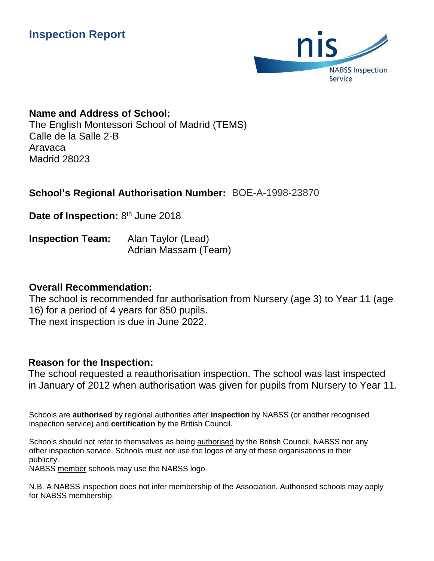

# **Name and Address of School:**

The English Montessori School of Madrid (TEMS) Calle de la Salle 2-B Aravaca Madrid 28023

# **School's Regional Authorisation Number:**  BOE-A-1998-23870

Date of Inspection: 8<sup>th</sup> June 2018

**Inspection Team:** Alan Taylor (Lead) Adrian Massam (Team)

## **Overall Recommendation:**

The school is recommended for authorisation from Nursery (age 3) to Year 11 (age 16) for a period of 4 years for 850 pupils. The next inspection is due in June 2022.

## **Reason for the Inspection:**

The school requested a reauthorisation inspection. The school was last inspected in January of 2012 when authorisation was given for pupils from Nursery to Year 11.

Schools are **authorised** by regional authorities after **inspection** by NABSS (or another recognised inspection service) and **certification** by the British Council.

Schools should not refer to themselves as being authorised by the British Council, NABSS nor any other inspection service. Schools must not use the logos of any of these organisations in their publicity.

NABSS member schools may use the NABSS logo.

N.B. A NABSS inspection does not infer membership of the Association. Authorised schools may apply for NABSS membership.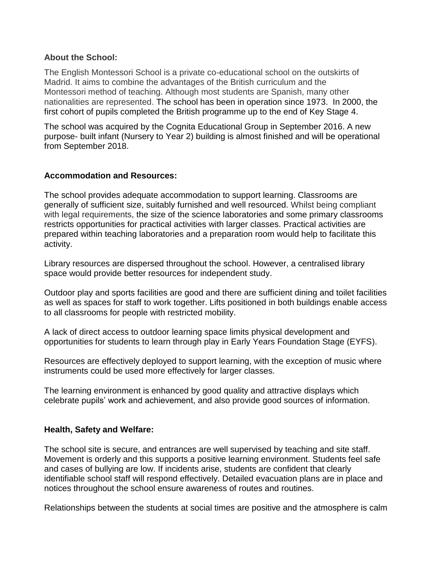#### **About the School:**

The English Montessori School is a private co-educational school on the outskirts of Madrid. It aims to combine the advantages of the British curriculum and the Montessori method of teaching. Although most students are Spanish, many other nationalities are represented. The school has been in operation since 1973. In 2000, the first cohort of pupils completed the British programme up to the end of Key Stage 4.

The school was acquired by the Cognita Educational Group in September 2016. A new purpose- built infant (Nursery to Year 2) building is almost finished and will be operational from September 2018.

### **Accommodation and Resources:**

The school provides adequate accommodation to support learning. Classrooms are generally of sufficient size, suitably furnished and well resourced. Whilst being compliant with legal requirements, the size of the science laboratories and some primary classrooms restricts opportunities for practical activities with larger classes. Practical activities are prepared within teaching laboratories and a preparation room would help to facilitate this activity.

Library resources are dispersed throughout the school. However, a centralised library space would provide better resources for independent study.

Outdoor play and sports facilities are good and there are sufficient dining and toilet facilities as well as spaces for staff to work together. Lifts positioned in both buildings enable access to all classrooms for people with restricted mobility.

A lack of direct access to outdoor learning space limits physical development and opportunities for students to learn through play in Early Years Foundation Stage (EYFS).

Resources are effectively deployed to support learning, with the exception of music where instruments could be used more effectively for larger classes.

The learning environment is enhanced by good quality and attractive displays which celebrate pupils' work and achievement, and also provide good sources of information.

#### **Health, Safety and Welfare:**

The school site is secure, and entrances are well supervised by teaching and site staff. Movement is orderly and this supports a positive learning environment. Students feel safe and cases of bullying are low. If incidents arise, students are confident that clearly identifiable school staff will respond effectively. Detailed evacuation plans are in place and notices throughout the school ensure awareness of routes and routines.

Relationships between the students at social times are positive and the atmosphere is calm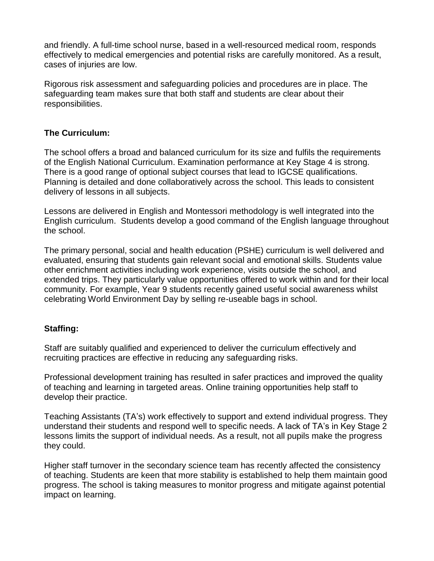and friendly. A full-time school nurse, based in a well-resourced medical room, responds effectively to medical emergencies and potential risks are carefully monitored. As a result, cases of injuries are low.

Rigorous risk assessment and safeguarding policies and procedures are in place. The safeguarding team makes sure that both staff and students are clear about their responsibilities.

## **The Curriculum:**

The school offers a broad and balanced curriculum for its size and fulfils the requirements of the English National Curriculum. Examination performance at Key Stage 4 is strong. There is a good range of optional subject courses that lead to IGCSE qualifications. Planning is detailed and done collaboratively across the school. This leads to consistent delivery of lessons in all subjects.

Lessons are delivered in English and Montessori methodology is well integrated into the English curriculum. Students develop a good command of the English language throughout the school.

The primary personal, social and health education (PSHE) curriculum is well delivered and evaluated, ensuring that students gain relevant social and emotional skills. Students value other enrichment activities including work experience, visits outside the school, and extended trips. They particularly value opportunities offered to work within and for their local community. For example, Year 9 students recently gained useful social awareness whilst celebrating World Environment Day by selling re-useable bags in school.

#### **Staffing:**

Staff are suitably qualified and experienced to deliver the curriculum effectively and recruiting practices are effective in reducing any safeguarding risks.

Professional development training has resulted in safer practices and improved the quality of teaching and learning in targeted areas. Online training opportunities help staff to develop their practice.

Teaching Assistants (TA's) work effectively to support and extend individual progress. They understand their students and respond well to specific needs. A lack of TA's in Key Stage 2 lessons limits the support of individual needs. As a result, not all pupils make the progress they could.

Higher staff turnover in the secondary science team has recently affected the consistency of teaching. Students are keen that more stability is established to help them maintain good progress. The school is taking measures to monitor progress and mitigate against potential impact on learning.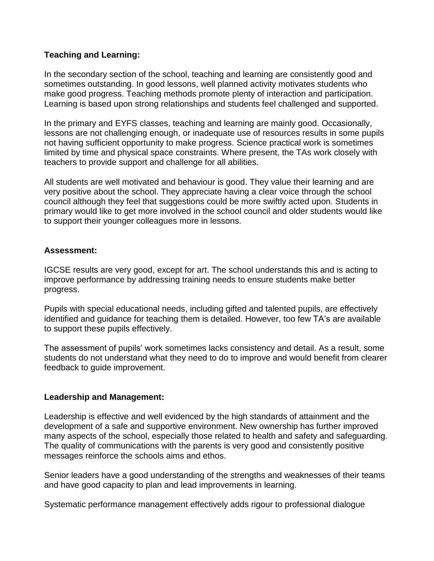### **Teaching and Learning:**

In the secondary section of the school, teaching and learning are consistently good and sometimes outstanding. In good lessons, well planned activity motivates students who make good progress. Teaching methods promote plenty of interaction and participation. Learning is based upon strong relationships and students feel challenged and supported.

In the primary and EYFS classes, teaching and learning are mainly good. Occasionally, lessons are not challenging enough, or inadequate use of resources results in some pupils not having sufficient opportunity to make progress. Science practical work is sometimes limited by time and physical space constraints. Where present, the TAs work closely with teachers to provide support and challenge for all abilities.

All students are well motivated and behaviour is good. They value their learning and are very positive about the school. They appreciate having a clear voice through the school council although they feel that suggestions could be more swiftly acted upon. Students in primary would like to get more involved in the school council and older students would like to support their younger colleagues more in lessons.

#### **Assessment:**

IGCSE results are very good, except for art. The school understands this and is acting to improve performance by addressing training needs to ensure students make better progress.

Pupils with special educational needs, including gifted and talented pupils, are effectively identified and guidance for teaching them is detailed. However, too few TA's are available to support these pupils effectively.

The assessment of pupils' work sometimes lacks consistency and detail. As a result, some students do not understand what they need to do to improve and would benefit from clearer feedback to guide improvement.

## **Leadership and Management:**

Leadership is effective and well evidenced by the high standards of attainment and the development of a safe and supportive environment. New ownership has further improved many aspects of the school, especially those related to health and safety and safeguarding. The quality of communications with the parents is very good and consistently positive messages reinforce the schools aims and ethos.

Senior leaders have a good understanding of the strengths and weaknesses of their teams and have good capacity to plan and lead improvements in learning.

Systematic performance management effectively adds rigour to professional dialogue